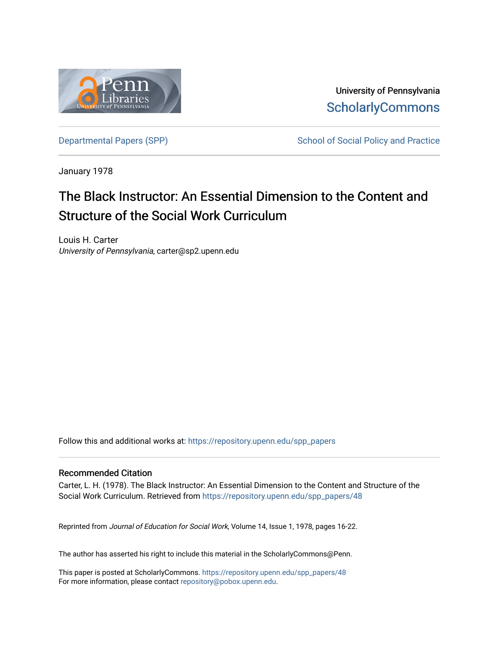

University of Pennsylvania **ScholarlyCommons** 

[Departmental Papers \(SPP\)](https://repository.upenn.edu/spp_papers) School of Social Policy and Practice

January 1978

# The Black Instructor: An Essential Dimension to the Content and Structure of the Social Work Curriculum

Louis H. Carter University of Pennsylvania, carter@sp2.upenn.edu

Follow this and additional works at: [https://repository.upenn.edu/spp\\_papers](https://repository.upenn.edu/spp_papers?utm_source=repository.upenn.edu%2Fspp_papers%2F48&utm_medium=PDF&utm_campaign=PDFCoverPages) 

### Recommended Citation

Carter, L. H. (1978). The Black Instructor: An Essential Dimension to the Content and Structure of the Social Work Curriculum. Retrieved from [https://repository.upenn.edu/spp\\_papers/48](https://repository.upenn.edu/spp_papers/48?utm_source=repository.upenn.edu%2Fspp_papers%2F48&utm_medium=PDF&utm_campaign=PDFCoverPages) 

Reprinted from Journal of Education for Social Work, Volume 14, Issue 1, 1978, pages 16-22.

The author has asserted his right to include this material in the ScholarlyCommons@Penn.

This paper is posted at ScholarlyCommons. [https://repository.upenn.edu/spp\\_papers/48](https://repository.upenn.edu/spp_papers/48)  For more information, please contact [repository@pobox.upenn.edu.](mailto:repository@pobox.upenn.edu)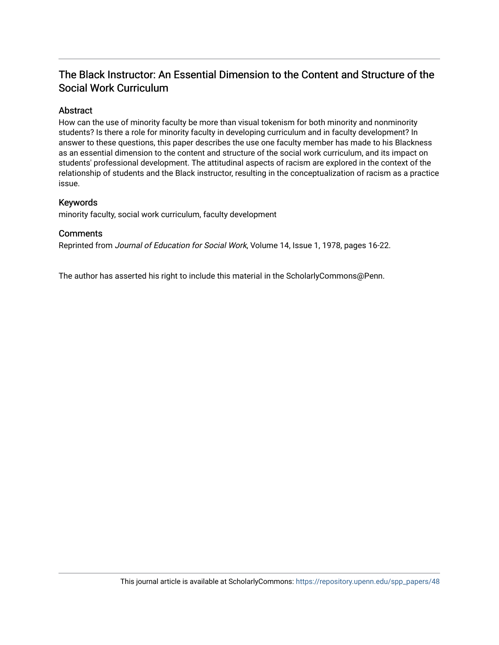## The Black Instructor: An Essential Dimension to the Content and Structure of the Social Work Curriculum

## Abstract

How can the use of minority faculty be more than visual tokenism for both minority and nonminority students? Is there a role for minority faculty in developing curriculum and in faculty development? In answer to these questions, this paper describes the use one faculty member has made to his Blackness as an essential dimension to the content and structure of the social work curriculum, and its impact on students' professional development. The attitudinal aspects of racism are explored in the context of the relationship of students and the Black instructor, resulting in the conceptualization of racism as a practice issue.

## Keywords

minority faculty, social work curriculum, faculty development

## **Comments**

Reprinted from Journal of Education for Social Work, Volume 14, Issue 1, 1978, pages 16-22.

The author has asserted his right to include this material in the ScholarlyCommons@Penn.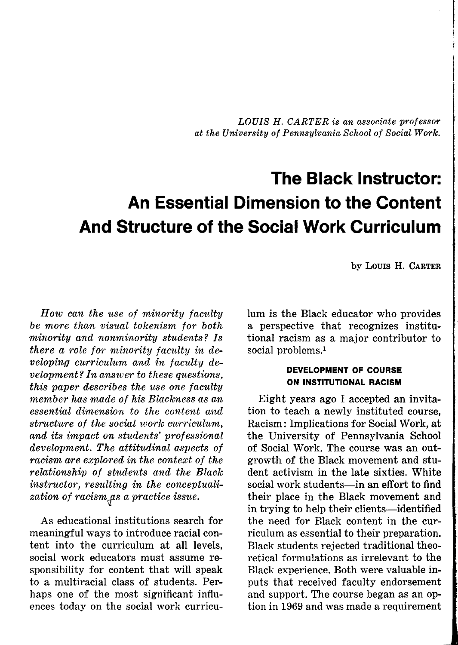*LOUIS H. CARTER is an associate professor at the University of Pennsylvania School of Social Work.* 

# **The Black Instructor: An Essential Dimension to the Content And Structure of the Social Work Curriculum**

by LOUIS H. CARTER

*How can the use of minority faculty be more than visual tokenism for both minority and nonminoritg students? Is there a role for minority faculty in developing curriculum and in faculty development? In answer to these questions, this paper describes the use one faculty member has made of his Blackness as an essential dimension to the content and*   $structure of the social work curriculum,$ *and its impact on students' professional development. The attitudinal aspects of racism are explored in the context of the relationship of students and the Black instructor, resulting in the conceptualization of racism as a practice issue.* 

As educational institutions search for meaningful ways to introduce racial content into the curriculum at all levels, social work educators must assume responsibility for content that will speak to a multiracial class of students. Perhaps one of the most significant influences today on the social work curriculum is the Black educator who provides a perspective that recognizes institutional racism as a major contributor to social problems.<sup>1</sup>

### **DEVELOPMENT OF COURSE ON INSTITUTIONAL RACISM**

Eight years ago I accepted an invitation to teach a newly instituted course, Racism : Implications for Social Work, at the University of Pennsylvania School of Social Work. The course was an outgrowth of the Black movement and student activism in the late sixties. White social work students—in an effort to find their place in the Black movement and in trying to help their clients—identified the need for Black content in the curriculum as essential to their preparation. Black students rejected traditional theoretical formulations as irrelevant to the Black experience. Both were valuable inputs that received faculty endorsement and support. The course began as an option in 1969 and was made a requirement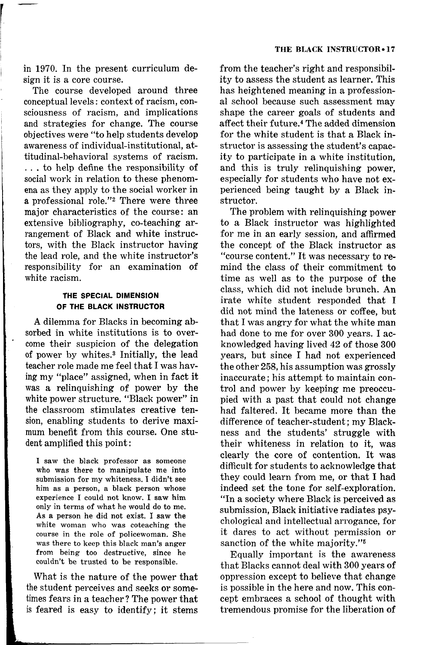in 1970. In the present curriculum design it is a core course.

The course developed around three conceptual levels : context of racism, consciousness of racism, and implications and strategies for change. The course objectives were "to help students develop awareness of individual-institutional, attitudinal-behavioral systems of racism. . . . to help define the responsibility of social work in relation to these phenom**ena** as they apply to the social worker in a professional role."<sup>2</sup> There were three major characteristics of the course: an extensive bibliography, co-teaching arrangement of Black and white instructors, with the Black instructor having the lead role, and the white instructor's responsibility for an examination of white racism.

## THE SPECIAL DIMENSION<br>OF THE BLACK INSTRUCTOR<br>And the second can be above the second **OF THE BLACK INSTRUCTOR**

**A** dilemma for Blacks in becoming absorbed in white institutions is to overcome their suspicion of the delegation of power by whites.3 Initially, the lead teacher role made me feel that I was having my "place" assigned, when in fact it was a relinquishing of power by the white power structure. "Black power" in the classroom stimulates creative ten-<br>sion, enabling students to derive maximum benefit from this course. One student amplified this point:

**I saw the black professor as someone who was there to manipulate me into submission for my whiteness. I didn't see him as a person, a black person whose experience I could not know. I saw him only in terms of what he would do to me. As a person he did not exist. I saw the white woman who was coteaching the course in the role of policewoman. She was there to keep this black man's anger from being too destructive, since he couldn't be trusted to be responsible.** 

What is the nature of the power that the student perceives and seeks or sometimes fears in a teacher? The power that is feared is easy to identify; it stems from the teacher's right and responsibility to assess the student as learner. This has heightened meaning in a professional school because such assessment may shape the career goals of students and affect their future.4 The added dimension for the white student is that a Black instructor is assessing the student's capacity to participate in a white institution, and this is truly relinquishing power. especially for students who have not experienced being taught by a Black instructor.

The problem with relinquishing power to a Black instructor was highlighted for me in an early session, and affirmed the concept of the Black instructor as "course content." It was necessary to remind the class of their commitment to time as well as to the purpose of the class, which did not include brunch. An irate white student responded that I did not mind the lateness or coffee, but that I was angry for what the white man had done to me for over **300** years. I acknowledged having lived 42 of those 300 years, but since I had not experienced the other 258, his assumption was grossly inaccurate ; his attempt to maintain control and power by keeping me preoccupied with a past that could not change had faltered. It became more than the difference of teacher-student ; my Blackness and the students' struggle with their whiteness in relation to it, was clearly the core of contention. It was difficult for students to acknowledge that they could learn from me, or that I had indeed set the tone for self-exploration. "In a society where Black is perceived as submission, Black initiative radiates psychological and intellectual arrogance, for it dares to act without permission or sanction of the white majority."6

Equally important is the awareness that Blacks cannot deal with **300** years of oppression except to believe that change is possible in the here and now. This concept embraces a school of thought with tremendous promise for the liberation of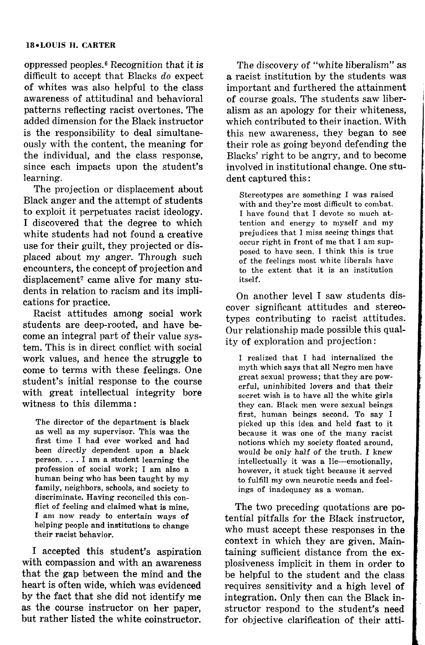oppressed peoples.6 Recognition that it is difficult to accept that Blacks do expect of whites was also helpful to the class awareness of attitudinal and behavioral patterns reflecting racist overtones. The added dimension for the Black instructor is the responsibility to deal simultaneously with the content, the meaning for the individual, and the class response, since each impacts upon the student's learning.

The projection or displacement about Black anger and the attempt of students to exploit it perpetuates racist ideology. I discovered that the degree to which white students had not found a creative use for their guilt, they projected or displaced about my anger. Through such encounters, the concept of projection and displacement<sup>7</sup> came alive for many students in relation to racism and its implications for practice.

Racist attitudes among social work students are deep-rooted, and have become an integral part of their value system. This is in direct conflict with social work values, and hence the struggle to come to terms with these feelings. One student's initial response to the course with great intellectual integrity bore witness to this dilemma:

The director of the department is black as well as my supervisor. This was the first time I had ever worked and had been directly dependent upon a black person. . . . I am a student learning the profession of social work; I am also a human being who has been taught by my family, neighbors, schools, and society to discriminate. Having reconciled this conflict of feeling and claimed what is mine, I am now ready to entertain ways of helping people and institutions to change their racist behavior.

I accepted this student's aspiration with compassion and with an awareness that the gap between the mind and the heart is often wide, which was evidenced by the fact that she did not identify me as the course instructor on her paper, but rather listed the white coinstructor.

The discovery of "white liberalism" as a racist institution by the students was of course goals. The students saw liberalism as an apology for their whiteness, which contributed to their inaction. With this new awareness, they began to see their role as going beyond defending the Blacks' right to be angry, and to become involved in institutional change. One student captured this :

Stereotypes are something I was raised with and they're most difficult to combat. I have found that I devote so much attention and energy to myself and my prejudices that I miss seeing things that occur right in front of me that I am supposed to have seen. I think this is true of the feelings most white liberals have to the extent that it is an institution itself.

On another level I saw students discover significant attitudes and stereotypes contributing to racist attitudes. Our relationship made possible this quality of exploration and projection:

I realized that I had internalized the myth which says that all Negro men have great sexual prowess; that they are powerful, uninhibited lovers and that their secret wish is to have all the white girls they can. Black men were sexual beings first, human beings second. To say I picked up this idea and held fast to it because it was one of the many racist notions which my society floated around, would be only half of the truth. I knew intellectually it was a lie-emotionally, however, it stuck tight because it served to fulfill my own neurotic needs and feelings of inadequacy as a woman.

The two preceding quotations are potential pitfalls for the Black instructor, who must accept these responses in the context in which they are given. Maintaining sufficient distance from the explosiveness implicit in them in order to be helpful to the student and the class requires sensitivity and a high level of integration. Only then can the Black instructor respond to the student's need for objective clarification of their atti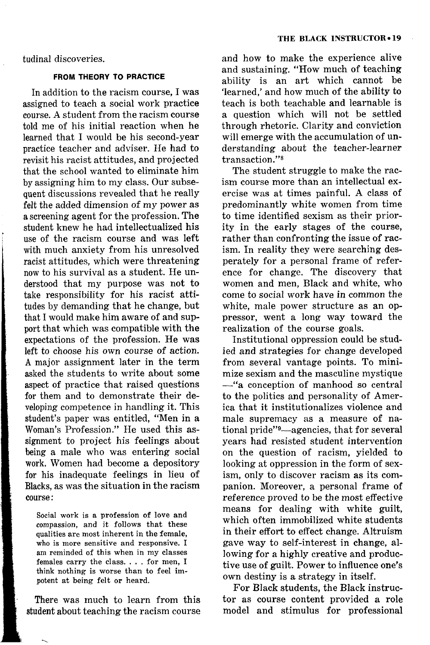tudinal discoveries.

### **FROM THEORY TO PRACTICE**

In addition to the racism course, I was assigned to teach a social work practice course. **A** student from the racism course told me of his initial reaction when he learned that I would be his second-year practice teacher and adviser. He had to revisit his racist attitudes, and projected that the school wanted to eliminate him by assigning him to my class. Our subsequent discussions revealed that he really felt the added dimension of my power as a screening agent for the profession. The student knew he had intellectualized his use of the racism course and was left with much anxiety from his unresolved racist attitudes, which were threatening now to his survival as a student. He understood that my purpose was not to take responsibility for his racist attitudes by demanding that he change, but that I would make him aware of and support that which was compatible with the expectations of the profession. He was left to choose his own course of action. **A** major assignment later in the term asked the students to write about some aspect of practice that raised questions for them and to demonstrate their developing competence in handling it. This student's paper was entitled, "Men in a Woman's Profession." He used this assignment to project his feelings about being a male who was entering social work. Women had become a depository for his inadequate feelings in lieu of Blacks, as was the situation in the racism course :

Social work is a profession of love and compassion, and it follows that these qualities are most inherent in the female, **who** is more sensitive and responsive. I am reminded of this when in my classes females carry the class. . . . for men, I think nothing is worse than to feel impotent at being felt or heard.

There was rnuch to learn from this student about teaching the racism course

and how to make the experience alive and sustaining. "How much of teaching ability is an art which cannot be 'learned,' and how much of the ability to teach is both teachable and learnable is a question which will not be settled through rhetoric. Clarity and conviction will emerge with the accumulation of understanding about the teacher-learner transaction."<sup>8</sup>

The student struggle to make the racism course more than an intellectual exercise was at times painful. **A** class of predominantly white women from time to time identified sexism as their priority in the early stages of the course, rather than confronting the issue of racism. In reality they were searching desperately for a personal frame of reference for change. The discovery that women and men, Black and white, who come to social work have in common the white, male power structure as an oppressor, went a long way toward the realization of the course goals.

Institutional oppression could be studied and strategies for change developed from several vantage points. To minimize sexism and the masculine mystique -"a conception of manhood so central to the politics and personality of America that it institutionalizes violence and male supremacy as a measure of national pride"9-agencies, that for several years had resisted student intervention on the question of racism, yielded to looking at oppression in the form of sexism, only to discover racism as its companion. Moreover, a personal frame of reference proved to be the most effective means for dealing with white guilt, which often immobilized white students in their effort to effect change. Altruism gave way to self-interest in change, allowing for a highly creative and productive use of guilt. Power to influence one's own destiny is a strategy in itself.

For Black students, the Black instructor as course content provided a role model and stimulus for professional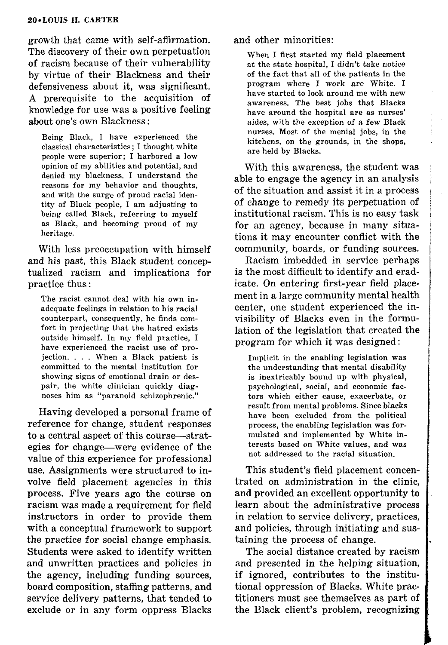growth that came with self-affirmation. The discovery of their own perpetuation of racism because of their vulnerability by virtue of their Blackness and their defensiveness about it, was significant. **A** prerequisite to the acquisition of knowledge for use was a positive feeling about one's own Blackness :

Being Black, I have experienced the classical characteristics ; I thought white people were superior; I harbored a low opinion of my abilities and potential, and denied my blackness. I understand the reasons for my behavior and thoughts, and with the surge of proud racial identity of Black people, I am adjusting to being called Black, referring to myself as Black, and becoming proud of my heritage.

With less preoccupation with himself and his past, this Black student conceptualized racism and implications for practice thus :

The racist cannot deal with his own inadequate feelings in relation to his racial counterpart, consequently, he finds comfort in projecting that the hatred exists outside himself. In my field practice, I have experienced the racist use of projection. . . . When a Black patient is committed to the mental institution for showing signs of emotional drain or despair, the white clinician quickly diagnoses him as "paranoid schizophrenic."

Having developed a personal frame of reference for change, student responses to a central aspect of this course-strategies for change-were evidence of the value of this experience for professional use. Assignments were structured to involve field placement agencies in this process. Five years ago the course on racism was made a requirement for field instructors in order to provide them with a conceptual framework to support the practice for social change emphasis. Students were asked to identify written and unwritten practices and policies in the agency, including funding sources, board composition, staffing patterns, and service delivery patterns, that tended to exclude or in any form oppress Blacks and other minorities:

When I first started my field placement at the state hospital, I didn't take notice of the fact that all of the patients in the program where I work are White. I have started to look around me with new awareness. The best jobs that Blacks have around the hospital are as nurses' aides, with the exception of a few Black nurses. Most of the menial jobs, in the kitchens, on the grounds, in the shops, are held by Blacks.

With this awareness, the student was able to engage the agency in an analysis , of the situation and assist it in a process , of change to remedy its perpetuation of i institutional racism. This is no easy task **<sup>I</sup>** for an agency, because in many situations it may encounter conflict with the ' community, boards, or funding sources.

Racism imbedded in service perhaps is the most difficult to identify and eradicate. On entering first-year field placement in a large community mental health center, one student experienced the invisibility of Blacks even in the formulation of the legislation that created the program for which it was designed: **<sup>I</sup>**

Implicit in the enabling legislation was the understanding that mental disabiIity is inextricably bound up with physical, psychological, social, and economic factors which either cause, exacerbate, or result from mental problems. Since blacks have been excluded from the political process, the enabling legislation was formulated and implemented by White interests based on White values, and was not addressed to the racial situation.

This student's field placement concentrated on administration in the clinic, and provided an excellent opportunity to learn about the administrative process in relation to service delivery, practices, and policies, through initiating and sustaining the process of change.

The social distance created by racism and presented in the helping situation, if ignored, contributes to the institutional oppression of Blacks. White practitioners must see themselves as part of the Black client's problem, recognizing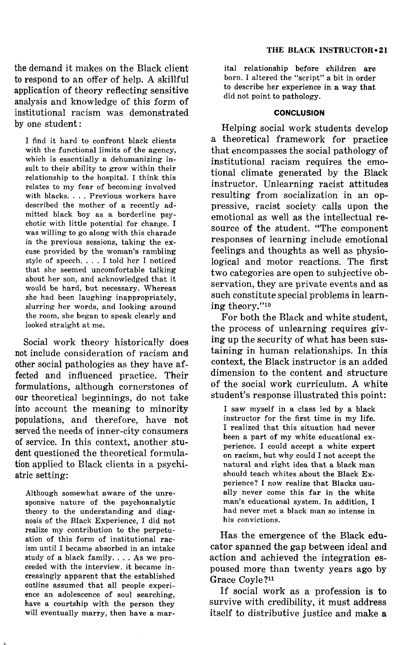I find it hard to confront black clients with the functional limits of the agency, which is essentially a dehumanizing insult to their ability to grow within their relationship to the hospital. I think this relates to my fear of becoming involved with blacks. . . . Previous workers have described the mother of a recently admitted black boy as a borderline psychotic with little potential for change. I was willing to go along with this charade in the previous sessions, taking the excuse provided by the woman's rambling style of speech. . . . I told her I noticed that she seemed uncomfortable talking about her son, and acknowledged that it would be hard, but necessary. Whereas she had been laughing inappropriately, slurring her words, and looking around the room, she began to speak clearly and looked straight at me.

Social work theory historically does not include consideration of racism and other social pathologies as they have affected and influenced practice. Their formulations, although cornerstones of our theoretical beginnings, do not take into account the meaning to minority populations, and therefore, have not served the needs of inner-city consumers of service. In this context, another student questioned the theoretical formulation applied to Black clients in a psychiatric setting:

Although somewhat aware of the unresponsive nature of the psychoanalytic theory to the understanding and diagnosis of the Black Experience, I did not realize my contribution to the perpetuation of this form of institutional racism until I became absorbed in an intake study of a black family. . . . As we proceeded with the interview. it became increasingly apparent that the established outline assumed that all people experience an adolescence of soul searching, have a courtship with the person they will eventually marry, then have a mar-

ital relationship before children **are**  born. I altered the "script" a bit in order to describe her experience in a way that did not point to pathology.

### **CONCLUSION**

Helping social work students develop a theoretical framework for practice that encompasses the social pathology of institutional racism requires the emotional climate generated by the Black instructor. Unlearning racist attitudes resulting from socialization in an oppressive, racist society calls upon the emotional as well as the intellectual resource of the student. "The component responses of learning include emotional feelings and thoughts as well as physiological and motor reactions. The first two categories are open to subjective observation, they are private events and as such constitute special problems in learning theory."<sup>10</sup>

For both the Black and white student, the process of unlearning requires giving up the security of what has been sustaining in human relationships. In this context, the Black instructor is an added dimension to the content and structure of the social work curriculum. **A** white student's response illustrated this point:

I saw myself in a class led by a black instructor for the first time in my life. I realized that this situation had never been a part of my white educational experience. I could accept a white expert on racism, but why could I not accept the natural and right idea that a black man should teach whites about the Black Experience? I now realize that Blacks usually never come this far in the white man's educational system. In addition, I had never met a black man so intense in his convictions.

Has the emergence of the Black educator spanned the gap between ideal and action and achieved the integration espoused more than twenty years ago by Grace Coyle?<sup>11</sup>

If social work as a profession is to survive with credibility, it must address itself to distributive justice and make a